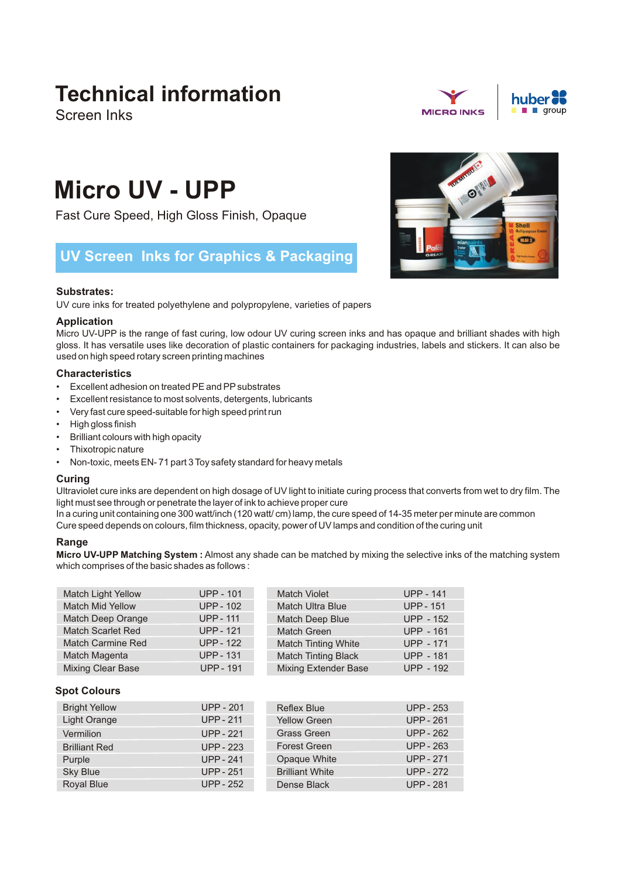# **Technical information**

Screen Inks



# **Micro UV - UPP**

Fast Cure Speed, High Gloss Finish, Opaque

# **UV Screen Inks for Graphics & Packaging**

# **Substrates:**

UV cure inks for treated polyethylene and polypropylene, varieties of papers

## **Application**

Micro UV-UPP is the range of fast curing, low odour UV curing screen inks and has opaque and brilliant shades with high gloss. It has versatile uses like decoration of plastic containers for packaging industries, labels and stickers. It can also be used on high speed rotary screen printing machines

# **Characteristics**

- Excellent adhesion on treated PE and PPsubstrates
- Excellent resistance to most solvents, detergents, lubricants
- Very fast cure speed-suitable for high speed print run
- High gloss finish
- Brilliant colours with high opacity
- Thixotropic nature
- Non-toxic, meets EN- 71 part 3 Toy safety standard for heavy metals

## **Curing**

Ultraviolet cure inks are dependent on high dosage of UV light to initiate curing process that converts from wet to dry film. The light must see through or penetrate the layer of ink to achieve proper cure

In a curing unit containing one 300 watt/inch (120 watt/ cm) lamp, the cure speed of 14-35 meter per minute are common Cure speed depends on colours, film thickness, opacity, power of UV lamps and condition of the curing unit

# **Range**

**Micro UV-UPP Matching System :** Almost any shade can be matched by mixing the selective inks of the matching system which comprises of the basic shades as follows :

| <b>Match Light Yellow</b> | <b>UPP - 101</b> | <b>Match Violet</b>         | <b>UPP - 141</b> |
|---------------------------|------------------|-----------------------------|------------------|
| <b>Match Mid Yellow</b>   | <b>UPP-102</b>   | <b>Match Ultra Blue</b>     | <b>UPP - 151</b> |
| Match Deep Orange         | <b>UPP-111</b>   | Match Deep Blue             | <b>UPP - 152</b> |
| <b>Match Scarlet Red</b>  | <b>UPP-121</b>   | <b>Match Green</b>          | <b>UPP - 161</b> |
| <b>Match Carmine Red</b>  | <b>UPP-122</b>   | <b>Match Tinting White</b>  | <b>UPP - 171</b> |
| Match Magenta             | <b>UPP-131</b>   | <b>Match Tinting Black</b>  | <b>UPP - 181</b> |
| Mixing Clear Base         | <b>UPP-191</b>   | <b>Mixing Extender Base</b> | <b>UPP - 192</b> |

# **Spot Colours**

| <b>Bright Yellow</b> | <b>UPP - 201</b> | <b>Reflex Blue</b>     | <b>UPP - 253</b> |
|----------------------|------------------|------------------------|------------------|
| Light Orange         | <b>UPP-211</b>   | <b>Yellow Green</b>    | <b>UPP-261</b>   |
| Vermilion            | <b>UPP - 221</b> | Grass Green            | <b>UPP - 262</b> |
| <b>Brilliant Red</b> | <b>UPP - 223</b> | <b>Forest Green</b>    | UPP - 263        |
| Purple               | <b>UPP-241</b>   | Opaque White           | <b>UPP - 271</b> |
| Sky Blue             | <b>UPP - 251</b> | <b>Brilliant White</b> | <b>UPP - 272</b> |
| Royal Blue           | <b>UPP - 252</b> | Dense Black            | <b>UPP - 281</b> |